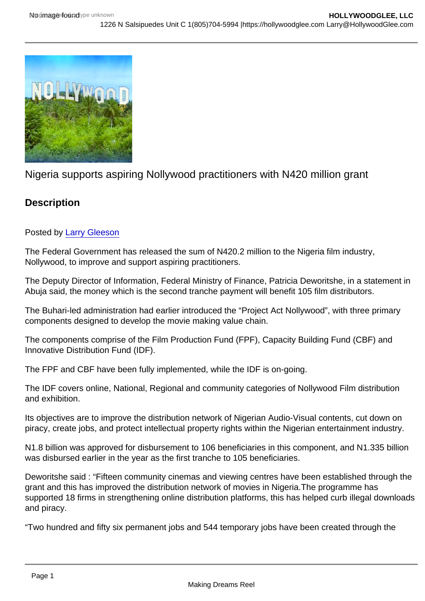# Nigeria supports aspiring Nollywood practitioners with N420 million grant

# **Description**

## Posted by [Larry Gleeson](http://sbccfilmreviews.org/?s=Larry+Gleeson)

The Federal Government has released the sum of N420.2 million to the Nigeria film industry, Nollywood, to improve and support aspiring practitioners.

The Deputy Director of Information, Federal Ministry of Finance, Patricia Deworitshe, in a statement in Abuja said, the money which is the second tranche payment will benefit 105 film distributors.

The Buhari-led administration had earlier introduced the "Project Act Nollywood", with three primary components designed to develop the movie making value chain.

The components comprise of the Film Production Fund (FPF), Capacity Building Fund (CBF) and Innovative Distribution Fund (IDF).

The FPF and CBF have been fully implemented, while the IDF is on-going.

The IDF covers online, National, Regional and community categories of Nollywood Film distribution and exhibition.

Its objectives are to improve the distribution network of Nigerian Audio-Visual contents, cut down on piracy, create jobs, and protect intellectual property rights within the Nigerian entertainment industry.

N1.8 billion was approved for disbursement to 106 beneficiaries in this component, and N1.335 billion was disbursed earlier in the year as the first tranche to 105 beneficiaries.

Deworitshe said : "Fifteen community cinemas and viewing centres have been established through the grant and this has improved the distribution network of movies in Nigeria.The programme has supported 18 firms in strengthening online distribution platforms, this has helped curb illegal downloads and piracy.

"Two hundred and fifty six permanent jobs and 544 temporary jobs have been created through the